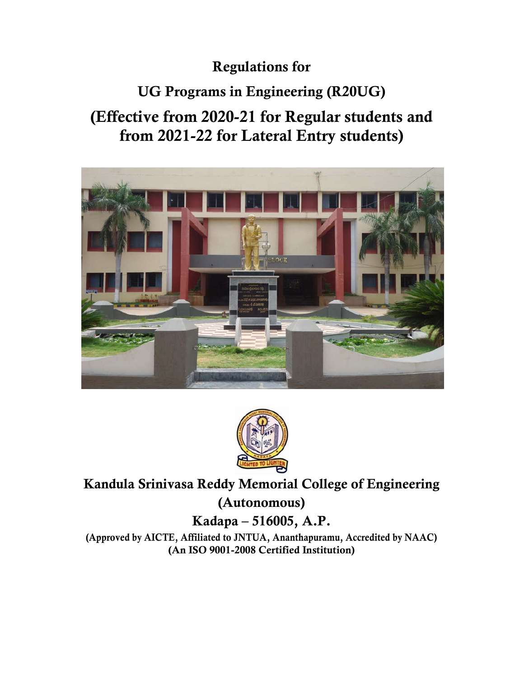# **Regulations for**

# **UG Programs in Engineering (R20UG)**

# **(Effective from 2020-21 for Regular students and from 2021-22 for Lateral Entry students)**





# **Kandula Srinivasa Reddy Memorial College of Engineering (Autonomous) Kadapa – 516005, A.P.**

**(Approved by AICTE, Affiliated to JNTUA, Ananthapuramu, Accredited by NAAC) (An ISO 9001-2008 Certified Institution)**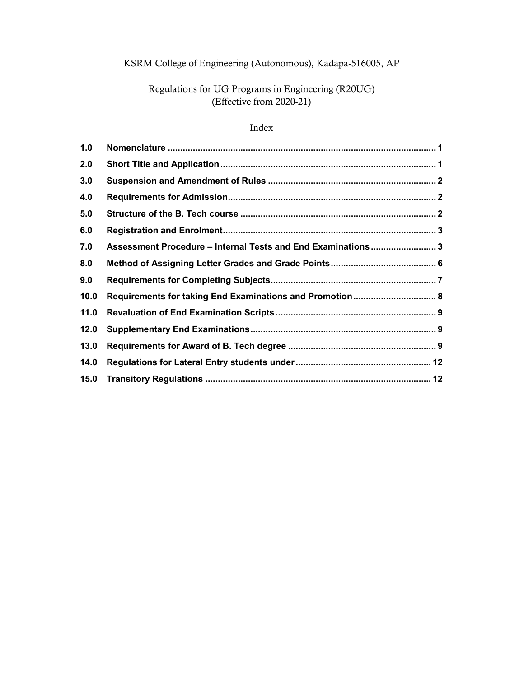# KSRM College of Engineering (Autonomous), Kadapa-516005, AP

# Regulations for UG Programs in Engineering (R20UG) (Effective from 2020-21)

# Index

| 1.0  |                                                              |  |
|------|--------------------------------------------------------------|--|
| 2.0  |                                                              |  |
| 3.0  |                                                              |  |
| 4.0  |                                                              |  |
| 5.0  |                                                              |  |
| 6.0  |                                                              |  |
| 7.0  | Assessment Procedure - Internal Tests and End Examinations 3 |  |
| 8.0  |                                                              |  |
| 9.0  |                                                              |  |
| 10.0 | Requirements for taking End Examinations and Promotion 8     |  |
| 11.0 |                                                              |  |
| 12.0 |                                                              |  |
| 13.0 |                                                              |  |
| 14.0 |                                                              |  |
| 15.0 |                                                              |  |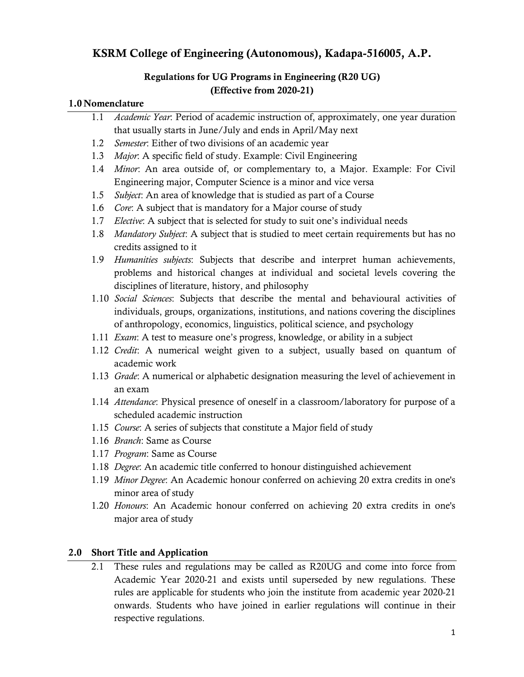# **KSRM College of Engineering (Autonomous), Kadapa-516005, A.P.**

# **Regulations for UG Programs in Engineering (R20 UG) (Effective from 2020-21)**

#### **1.0 Nomenclature**

|     | 1.1 | Academic Year: Period of academic instruction of, approximately, one year duration                                                                                                                                                                            |
|-----|-----|---------------------------------------------------------------------------------------------------------------------------------------------------------------------------------------------------------------------------------------------------------------|
|     |     | that usually starts in June/July and ends in April/May next                                                                                                                                                                                                   |
|     | 1.2 | Semester: Either of two divisions of an academic year                                                                                                                                                                                                         |
|     | 1.3 | Major: A specific field of study. Example: Civil Engineering                                                                                                                                                                                                  |
|     | 1.4 | Minor. An area outside of, or complementary to, a Major. Example: For Civil                                                                                                                                                                                   |
|     |     | Engineering major, Computer Science is a minor and vice versa                                                                                                                                                                                                 |
|     | 1.5 | Subject: An area of knowledge that is studied as part of a Course                                                                                                                                                                                             |
|     | 1.6 | Core: A subject that is mandatory for a Major course of study                                                                                                                                                                                                 |
|     | 1.7 | <i>Elective</i> : A subject that is selected for study to suit one's individual needs                                                                                                                                                                         |
|     | 1.8 | Mandatory Subject: A subject that is studied to meet certain requirements but has no<br>credits assigned to it                                                                                                                                                |
|     | 1.9 | Humanities subjects: Subjects that describe and interpret human achievements,<br>problems and historical changes at individual and societal levels covering the<br>disciplines of literature, history, and philosophy                                         |
|     |     | 1.10 Social Sciences: Subjects that describe the mental and behavioural activities of<br>individuals, groups, organizations, institutions, and nations covering the disciplines<br>of anthropology, economics, linguistics, political science, and psychology |
|     |     | 1.11 <i>Exam</i> : A test to measure one's progress, knowledge, or ability in a subject                                                                                                                                                                       |
|     |     | 1.12 Credit: A numerical weight given to a subject, usually based on quantum of<br>academic work                                                                                                                                                              |
|     |     | 1.13 Grade: A numerical or alphabetic designation measuring the level of achievement in<br>an exam                                                                                                                                                            |
|     |     | 1.14 Attendance: Physical presence of oneself in a classroom/laboratory for purpose of a<br>scheduled academic instruction                                                                                                                                    |
|     |     | 1.15 Course: A series of subjects that constitute a Major field of study                                                                                                                                                                                      |
|     |     | 1.16 <i>Branch</i> : Same as Course                                                                                                                                                                                                                           |
|     |     | 1.17 Program: Same as Course                                                                                                                                                                                                                                  |
|     |     | 1.18 Degree: An academic title conferred to honour distinguished achievement                                                                                                                                                                                  |
|     |     | 1.19 Minor Degree: An Academic honour conferred on achieving 20 extra credits in one's<br>minor area of study                                                                                                                                                 |
|     |     | 1.20 <i>Honours</i> : An Academic honour conferred on achieving 20 extra credits in one's                                                                                                                                                                     |
|     |     | major area of study                                                                                                                                                                                                                                           |
| 2.0 |     | <b>Short Title and Application</b>                                                                                                                                                                                                                            |
|     | 21  | These rules and regulations may be called as R20UG and come into force from                                                                                                                                                                                   |

2.1 These rules and regulations may be called as R20UG and come into force from Academic Year 2020-21 and exists until superseded by new regulations. These rules are applicable for students who join the institute from academic year 2020-21 onwards. Students who have joined in earlier regulations will continue in their respective regulations.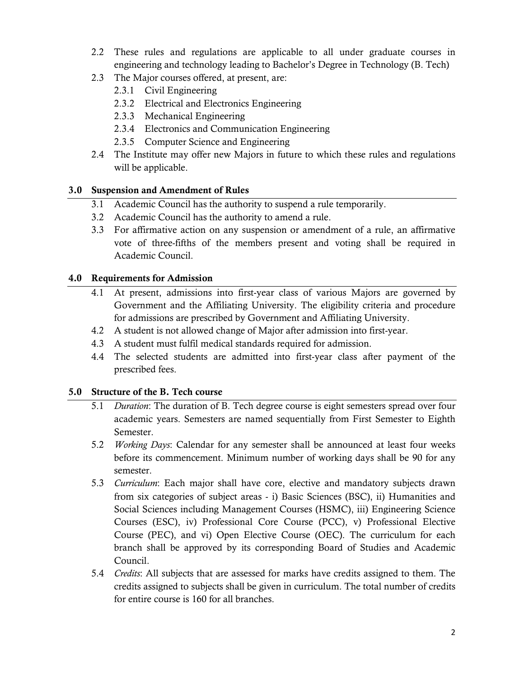- 2.2 These rules and regulations are applicable to all under graduate courses in engineering and technology leading to Bachelor's Degree in Technology (B. Tech)
- 2.3 The Major courses offered, at present, are:
	- 2.3.1 Civil Engineering
	- 2.3.2 Electrical and Electronics Engineering
	- 2.3.3 Mechanical Engineering
	- 2.3.4 Electronics and Communication Engineering
	- 2.3.5 Computer Science and Engineering
- 2.4 The Institute may offer new Majors in future to which these rules and regulations will be applicable.

## **3.0 Suspension and Amendment of Rules**

- 3.1 Academic Council has the authority to suspend a rule temporarily.
- 3.2 Academic Council has the authority to amend a rule.
- 3.3 For affirmative action on any suspension or amendment of a rule, an affirmative vote of three-fifths of the members present and voting shall be required in Academic Council.

#### **4.0 Requirements for Admission**

- 4.1 At present, admissions into first-year class of various Majors are governed by Government and the Affiliating University. The eligibility criteria and procedure for admissions are prescribed by Government and Affiliating University.
- 4.2 A student is not allowed change of Major after admission into first-year.
- 4.3 A student must fulfil medical standards required for admission.
- 4.4 The selected students are admitted into first-year class after payment of the prescribed fees.

#### **5.0 Structure of the B. Tech course**

- 5.1 *Duration*: The duration of B. Tech degree course is eight semesters spread over four academic years. Semesters are named sequentially from First Semester to Eighth Semester.
- 5.2 *Working Days*: Calendar for any semester shall be announced at least four weeks before its commencement. Minimum number of working days shall be 90 for any semester.
- 5.3 *Curriculum*: Each major shall have core, elective and mandatory subjects drawn from six categories of subject areas - i) Basic Sciences (BSC), ii) Humanities and Social Sciences including Management Courses (HSMC), iii) Engineering Science Courses (ESC), iv) Professional Core Course (PCC), v) Professional Elective Course (PEC), and vi) Open Elective Course (OEC). The curriculum for each branch shall be approved by its corresponding Board of Studies and Academic Council.
- 5.4 *Credits*: All subjects that are assessed for marks have credits assigned to them. The credits assigned to subjects shall be given in curriculum. The total number of credits for entire course is 160 for all branches.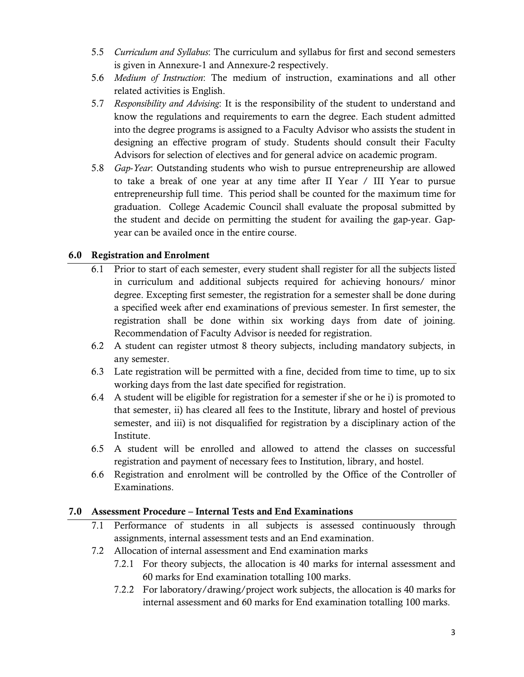- 5.5 *Curriculum and Syllabus*: The curriculum and syllabus for first and second semesters is given in Annexure-1 and Annexure-2 respectively.
- 5.6 *Medium of Instruction*: The medium of instruction, examinations and all other related activities is English.
- 5.7 *Responsibility and Advising*: It is the responsibility of the student to understand and know the regulations and requirements to earn the degree. Each student admitted into the degree programs is assigned to a Faculty Advisor who assists the student in designing an effective program of study. Students should consult their Faculty Advisors for selection of electives and for general advice on academic program.
- 5.8 *Gap*-*Year*: Outstanding students who wish to pursue entrepreneurship are allowed to take a break of one year at any time after II Year / III Year to pursue entrepreneurship full time. This period shall be counted for the maximum time for graduation. College Academic Council shall evaluate the proposal submitted by the student and decide on permitting the student for availing the gap-year. Gapyear can be availed once in the entire course.

## **6.0 Registration and Enrolment**

- 6.1 Prior to start of each semester, every student shall register for all the subjects listed in curriculum and additional subjects required for achieving honours/ minor degree. Excepting first semester, the registration for a semester shall be done during a specified week after end examinations of previous semester. In first semester, the registration shall be done within six working days from date of joining. Recommendation of Faculty Advisor is needed for registration.
- 6.2 A student can register utmost 8 theory subjects, including mandatory subjects, in any semester.
- 6.3 Late registration will be permitted with a fine, decided from time to time, up to six working days from the last date specified for registration.
- 6.4 A student will be eligible for registration for a semester if she or he i) is promoted to that semester, ii) has cleared all fees to the Institute, library and hostel of previous semester, and iii) is not disqualified for registration by a disciplinary action of the Institute.
- 6.5 A student will be enrolled and allowed to attend the classes on successful registration and payment of necessary fees to Institution, library, and hostel.
- 6.6 Registration and enrolment will be controlled by the Office of the Controller of Examinations.

#### **7.0 Assessment Procedure – Internal Tests and End Examinations**

- 7.1 Performance of students in all subjects is assessed continuously through assignments, internal assessment tests and an End examination.
- 7.2 Allocation of internal assessment and End examination marks
	- 7.2.1 For theory subjects, the allocation is 40 marks for internal assessment and 60 marks for End examination totalling 100 marks.
	- 7.2.2 For laboratory/drawing/project work subjects, the allocation is 40 marks for internal assessment and 60 marks for End examination totalling 100 marks.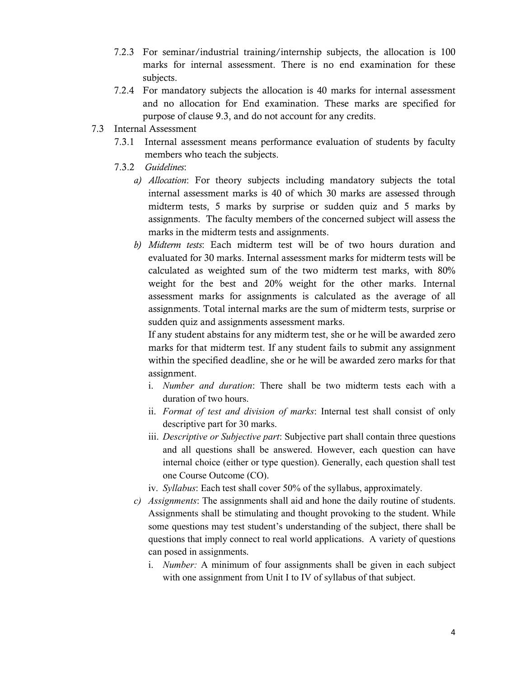- 7.2.3 For seminar/industrial training/internship subjects, the allocation is 100 marks for internal assessment. There is no end examination for these subjects.
- 7.2.4 For mandatory subjects the allocation is 40 marks for internal assessment and no allocation for End examination. These marks are specified for purpose of clause 9.3, and do not account for any credits.
- 7.3 Internal Assessment
	- 7.3.1 Internal assessment means performance evaluation of students by faculty members who teach the subjects.
	- 7.3.2 *Guidelines*:
		- *a) Allocation*: For theory subjects including mandatory subjects the total internal assessment marks is 40 of which 30 marks are assessed through midterm tests, 5 marks by surprise or sudden quiz and 5 marks by assignments. The faculty members of the concerned subject will assess the marks in the midterm tests and assignments.
		- *b) Midterm tests*: Each midterm test will be of two hours duration and evaluated for 30 marks. Internal assessment marks for midterm tests will be calculated as weighted sum of the two midterm test marks, with 80% weight for the best and 20% weight for the other marks. Internal assessment marks for assignments is calculated as the average of all assignments. Total internal marks are the sum of midterm tests, surprise or sudden quiz and assignments assessment marks.

If any student abstains for any midterm test, she or he will be awarded zero marks for that midterm test. If any student fails to submit any assignment within the specified deadline, she or he will be awarded zero marks for that assignment.

- i. *Number and duration*: There shall be two midterm tests each with a duration of two hours.
- ii. *Format of test and division of marks*: Internal test shall consist of only descriptive part for 30 marks.
- iii. *Descriptive or Subjective part*: Subjective part shall contain three questions and all questions shall be answered. However, each question can have internal choice (either or type question). Generally, each question shall test one Course Outcome (CO).
- iv. *Syllabus*: Each test shall cover 50% of the syllabus, approximately.
- *c) Assignments*: The assignments shall aid and hone the daily routine of students. Assignments shall be stimulating and thought provoking to the student. While some questions may test student's understanding of the subject, there shall be questions that imply connect to real world applications. A variety of questions can posed in assignments.
	- i. *Number:* A minimum of four assignments shall be given in each subject with one assignment from Unit I to IV of syllabus of that subject.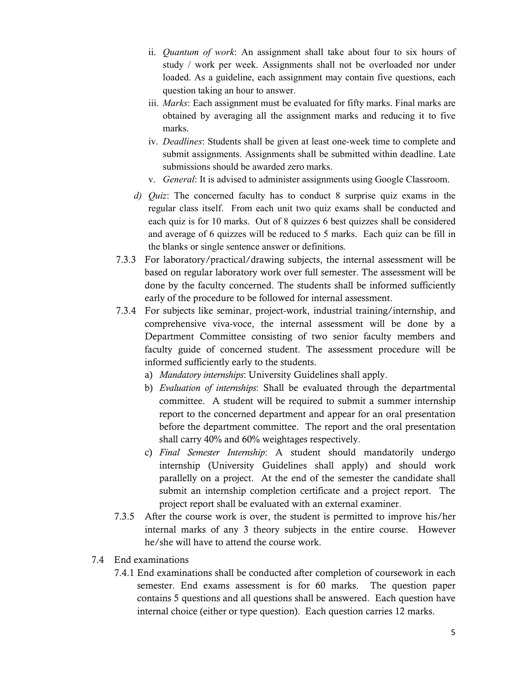- ii. *Quantum of work*: An assignment shall take about four to six hours of study / work per week. Assignments shall not be overloaded nor under loaded. As a guideline, each assignment may contain five questions, each question taking an hour to answer.
- iii. *Marks*: Each assignment must be evaluated for fifty marks. Final marks are obtained by averaging all the assignment marks and reducing it to five marks.
- iv. *Deadlines*: Students shall be given at least one-week time to complete and submit assignments. Assignments shall be submitted within deadline. Late submissions should be awarded zero marks.
- v. *General*: It is advised to administer assignments using Google Classroom.
- *d) Quiz*: The concerned faculty has to conduct 8 surprise quiz exams in the regular class itself. From each unit two quiz exams shall be conducted and each quiz is for 10 marks. Out of 8 quizzes 6 best quizzes shall be considered and average of 6 quizzes will be reduced to 5 marks. Each quiz can be fill in the blanks or single sentence answer or definitions.
- 7.3.3 For laboratory/practical/drawing subjects, the internal assessment will be based on regular laboratory work over full semester. The assessment will be done by the faculty concerned. The students shall be informed sufficiently early of the procedure to be followed for internal assessment.
- 7.3.4 For subjects like seminar, project-work, industrial training/internship, and comprehensive viva-voce, the internal assessment will be done by a Department Committee consisting of two senior faculty members and faculty guide of concerned student. The assessment procedure will be informed sufficiently early to the students.
	- a) *Mandatory internships*: University Guidelines shall apply.
	- b) *Evaluation of internships*: Shall be evaluated through the departmental committee. A student will be required to submit a summer internship report to the concerned department and appear for an oral presentation before the department committee. The report and the oral presentation shall carry 40% and 60% weightages respectively.
	- c) *Final Semester Internship*: A student should mandatorily undergo internship (University Guidelines shall apply) and should work parallelly on a project. At the end of the semester the candidate shall submit an internship completion certificate and a project report. The project report shall be evaluated with an external examiner.
- 7.3.5 After the course work is over, the student is permitted to improve his/her internal marks of any 3 theory subjects in the entire course. However he/she will have to attend the course work.
- 7.4 End examinations
	- 7.4.1 End examinations shall be conducted after completion of coursework in each semester. End exams assessment is for 60 marks. The question paper contains 5 questions and all questions shall be answered. Each question have internal choice (either or type question). Each question carries 12 marks.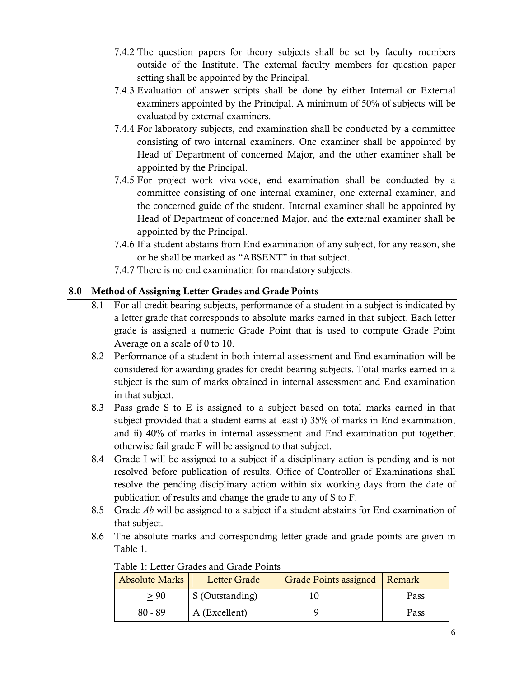- 7.4.2 The question papers for theory subjects shall be set by faculty members outside of the Institute. The external faculty members for question paper setting shall be appointed by the Principal.
- 7.4.3 Evaluation of answer scripts shall be done by either Internal or External examiners appointed by the Principal. A minimum of 50% of subjects will be evaluated by external examiners.
- 7.4.4 For laboratory subjects, end examination shall be conducted by a committee consisting of two internal examiners. One examiner shall be appointed by Head of Department of concerned Major, and the other examiner shall be appointed by the Principal.
- 7.4.5 For project work viva-voce, end examination shall be conducted by a committee consisting of one internal examiner, one external examiner, and the concerned guide of the student. Internal examiner shall be appointed by Head of Department of concerned Major, and the external examiner shall be appointed by the Principal.
- 7.4.6 If a student abstains from End examination of any subject, for any reason, she or he shall be marked as "ABSENT" in that subject.
- 7.4.7 There is no end examination for mandatory subjects.

## **8.0 Method of Assigning Letter Grades and Grade Points**

- 8.1 For all credit-bearing subjects, performance of a student in a subject is indicated by a letter grade that corresponds to absolute marks earned in that subject. Each letter grade is assigned a numeric Grade Point that is used to compute Grade Point Average on a scale of 0 to 10.
- 8.2 Performance of a student in both internal assessment and End examination will be considered for awarding grades for credit bearing subjects. Total marks earned in a subject is the sum of marks obtained in internal assessment and End examination in that subject.
- 8.3 Pass grade S to E is assigned to a subject based on total marks earned in that subject provided that a student earns at least i) 35% of marks in End examination, and ii) 40% of marks in internal assessment and End examination put together; otherwise fail grade F will be assigned to that subject.
- 8.4 Grade I will be assigned to a subject if a disciplinary action is pending and is not resolved before publication of results. Office of Controller of Examinations shall resolve the pending disciplinary action within six working days from the date of publication of results and change the grade to any of S to F.
- 8.5 Grade *Ab* will be assigned to a subject if a student abstains for End examination of that subject.
- 8.6 The absolute marks and corresponding letter grade and grade points are given in Table 1.

| <b>Absolute Marks</b> | <b>Letter Grade</b> | Grade Points assigned   Remark |      |
|-----------------------|---------------------|--------------------------------|------|
| > 90                  | S (Outstanding)     |                                | Pass |
| $80 - 89$             | A (Excellent)       |                                | Pass |

Table 1: Letter Grades and Grade Points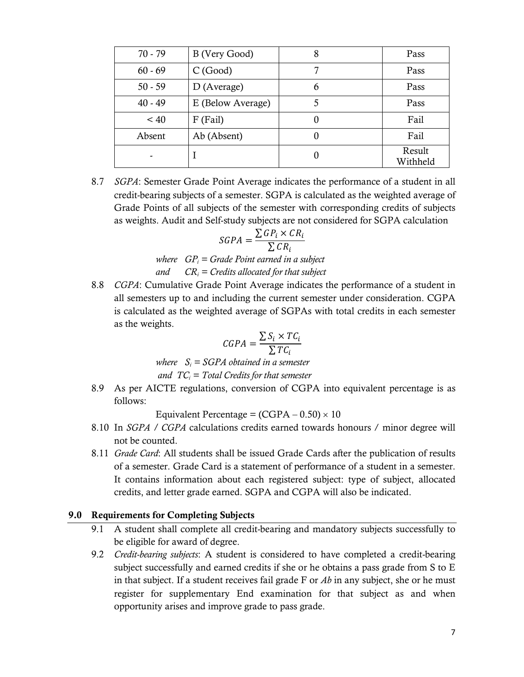| $70 - 79$ | B (Very Good)     | 8 | Pass               |
|-----------|-------------------|---|--------------------|
| $60 - 69$ | C(Good)           |   | Pass               |
| $50 - 59$ | $D$ (Average)     | 6 | Pass               |
| $40 - 49$ | E (Below Average) | 5 | Pass               |
| $~<$ 40   | $F$ (Fail)        | 0 | Fail               |
| Absent    | Ab (Absent)       |   | Fail               |
|           |                   |   | Result<br>Withheld |

8.7 *SGPA*: Semester Grade Point Average indicates the performance of a student in all credit-bearing subjects of a semester. SGPA is calculated as the weighted average of Grade Points of all subjects of the semester with corresponding credits of subjects as weights. Audit and Self-study subjects are not considered for SGPA calculation

$$
SGPA = \frac{\sum GP_i \times CR_i}{\sum CR_i}
$$

*where GPi = Grade Point earned in a subject and CRi = Credits allocated for that subject*

8.8 *CGPA*: Cumulative Grade Point Average indicates the performance of a student in all semesters up to and including the current semester under consideration. CGPA is calculated as the weighted average of SGPAs with total credits in each semester as the weights.

$$
CGPA = \frac{\sum S_i \times TC_i}{\sum TC_i}
$$

*where*  $S_i = SGPA$  *obtained in a semester and TCi = Total Credits for that semester*

8.9 As per AICTE regulations, conversion of CGPA into equivalent percentage is as follows:

Equivalent Percentage =  $(CGPA - 0.50) \times 10$ 

- 8.10 In *SGPA / CGPA* calculations credits earned towards honours / minor degree will not be counted.
- 8.11 *Grade Card*: All students shall be issued Grade Cards after the publication of results of a semester. Grade Card is a statement of performance of a student in a semester. It contains information about each registered subject: type of subject, allocated credits, and letter grade earned. SGPA and CGPA will also be indicated.

## **9.0 Requirements for Completing Subjects**

- 9.1 A student shall complete all credit-bearing and mandatory subjects successfully to be eligible for award of degree.
- 9.2 *Credit-bearing subjects*: A student is considered to have completed a credit-bearing subject successfully and earned credits if she or he obtains a pass grade from S to E in that subject. If a student receives fail grade F or *Ab* in any subject, she or he must register for supplementary End examination for that subject as and when opportunity arises and improve grade to pass grade.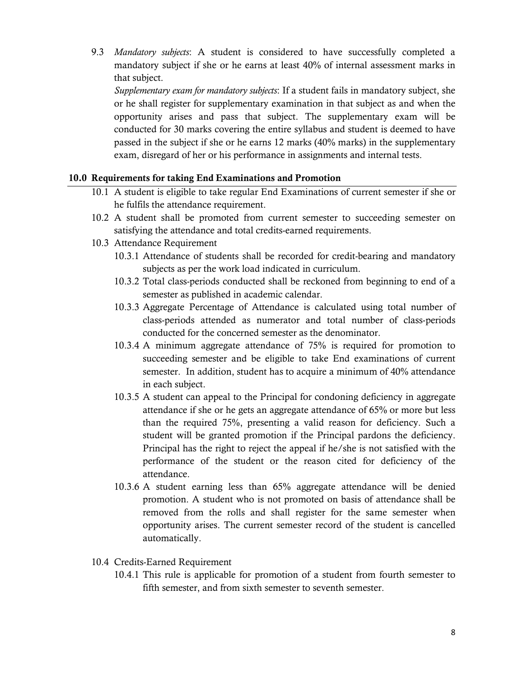9.3 *Mandatory subjects*: A student is considered to have successfully completed a mandatory subject if she or he earns at least 40% of internal assessment marks in that subject.

*Supplementary exam for mandatory subjects*: If a student fails in mandatory subject, she or he shall register for supplementary examination in that subject as and when the opportunity arises and pass that subject. The supplementary exam will be conducted for 30 marks covering the entire syllabus and student is deemed to have passed in the subject if she or he earns 12 marks (40% marks) in the supplementary exam, disregard of her or his performance in assignments and internal tests.

## **10.0 Requirements for taking End Examinations and Promotion**

- 10.1 A student is eligible to take regular End Examinations of current semester if she or he fulfils the attendance requirement.
- 10.2 A student shall be promoted from current semester to succeeding semester on satisfying the attendance and total credits-earned requirements.
- 10.3 Attendance Requirement
	- 10.3.1 Attendance of students shall be recorded for credit-bearing and mandatory subjects as per the work load indicated in curriculum.
	- 10.3.2 Total class-periods conducted shall be reckoned from beginning to end of a semester as published in academic calendar.
	- 10.3.3 Aggregate Percentage of Attendance is calculated using total number of class-periods attended as numerator and total number of class-periods conducted for the concerned semester as the denominator.
	- 10.3.4 A minimum aggregate attendance of 75% is required for promotion to succeeding semester and be eligible to take End examinations of current semester. In addition, student has to acquire a minimum of 40% attendance in each subject.
	- 10.3.5 A student can appeal to the Principal for condoning deficiency in aggregate attendance if she or he gets an aggregate attendance of 65% or more but less than the required 75%, presenting a valid reason for deficiency. Such a student will be granted promotion if the Principal pardons the deficiency. Principal has the right to reject the appeal if he/she is not satisfied with the performance of the student or the reason cited for deficiency of the attendance.
	- 10.3.6 A student earning less than 65% aggregate attendance will be denied promotion. A student who is not promoted on basis of attendance shall be removed from the rolls and shall register for the same semester when opportunity arises. The current semester record of the student is cancelled automatically.
- 10.4 Credits-Earned Requirement
	- 10.4.1 This rule is applicable for promotion of a student from fourth semester to fifth semester, and from sixth semester to seventh semester.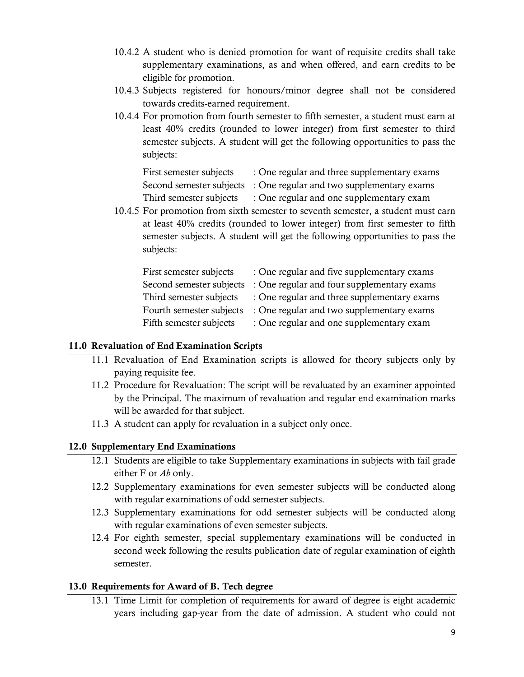- 10.4.2 A student who is denied promotion for want of requisite credits shall take supplementary examinations, as and when offered, and earn credits to be eligible for promotion.
- 10.4.3 Subjects registered for honours/minor degree shall not be considered towards credits-earned requirement.
- 10.4.4 For promotion from fourth semester to fifth semester, a student must earn at least 40% credits (rounded to lower integer) from first semester to third semester subjects. A student will get the following opportunities to pass the subjects:

| First semester subjects | : One regular and three supplementary exams                        |
|-------------------------|--------------------------------------------------------------------|
|                         | Second semester subjects : One regular and two supplementary exams |
| Third semester subjects | : One regular and one supplementary exam                           |

10.4.5 For promotion from sixth semester to seventh semester, a student must earn at least 40% credits (rounded to lower integer) from first semester to fifth semester subjects. A student will get the following opportunities to pass the subjects:

| First semester subjects  | : One regular and five supplementary exams  |
|--------------------------|---------------------------------------------|
| Second semester subjects | : One regular and four supplementary exams  |
| Third semester subjects  | : One regular and three supplementary exams |
| Fourth semester subjects | : One regular and two supplementary exams   |
| Fifth semester subjects  | : One regular and one supplementary exam    |

## **11.0 Revaluation of End Examination Scripts**

- 11.1 Revaluation of End Examination scripts is allowed for theory subjects only by paying requisite fee.
- 11.2 Procedure for Revaluation: The script will be revaluated by an examiner appointed by the Principal. The maximum of revaluation and regular end examination marks will be awarded for that subject.
- 11.3 A student can apply for revaluation in a subject only once.

## **12.0 Supplementary End Examinations**

- 12.1 Students are eligible to take Supplementary examinations in subjects with fail grade either F or *Ab* only.
- 12.2 Supplementary examinations for even semester subjects will be conducted along with regular examinations of odd semester subjects.
- 12.3 Supplementary examinations for odd semester subjects will be conducted along with regular examinations of even semester subjects.
- 12.4 For eighth semester, special supplementary examinations will be conducted in second week following the results publication date of regular examination of eighth semester.

#### **13.0 Requirements for Award of B. Tech degree**

13.1 Time Limit for completion of requirements for award of degree is eight academic years including gap-year from the date of admission. A student who could not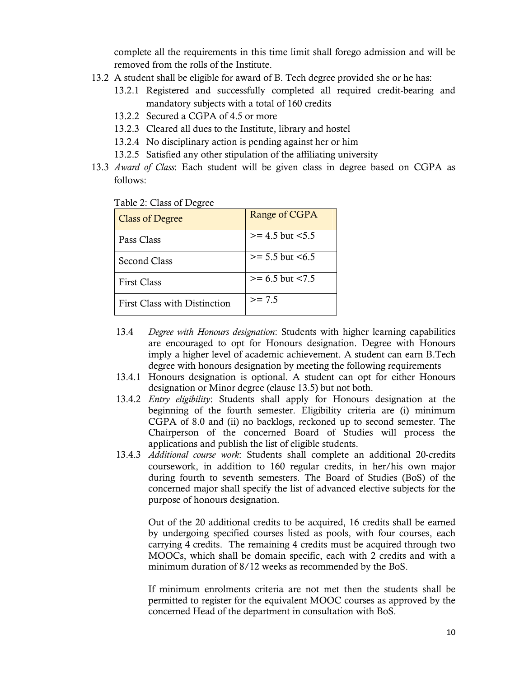complete all the requirements in this time limit shall forego admission and will be removed from the rolls of the Institute.

- 13.2 A student shall be eligible for award of B. Tech degree provided she or he has:
	- 13.2.1 Registered and successfully completed all required credit-bearing and mandatory subjects with a total of 160 credits
	- 13.2.2 Secured a CGPA of 4.5 or more
	- 13.2.3 Cleared all dues to the Institute, library and hostel
	- 13.2.4 No disciplinary action is pending against her or him
	- 13.2.5 Satisfied any other stipulation of the affiliating university
- 13.3 *Award of Class*: Each student will be given class in degree based on CGPA as follows:

| <b>Class of Degree</b>       | Range of CGPA        |
|------------------------------|----------------------|
| Pass Class                   | $>= 4.5$ but $< 5.5$ |
| Second Class                 | $>= 5.5$ but $< 6.5$ |
| <b>First Class</b>           | $>= 6.5$ but $< 7.5$ |
| First Class with Distinction | $>= 7.5$             |

#### Table 2: Class of Degree

- 13.4 *Degree with Honours designation*: Students with higher learning capabilities are encouraged to opt for Honours designation. Degree with Honours imply a higher level of academic achievement. A student can earn B.Tech degree with honours designation by meeting the following requirements
- 13.4.1 Honours designation is optional. A student can opt for either Honours designation or Minor degree (clause 13.5) but not both.
- 13.4.2 *Entry eligibility*: Students shall apply for Honours designation at the beginning of the fourth semester. Eligibility criteria are (i) minimum CGPA of 8.0 and (ii) no backlogs, reckoned up to second semester. The Chairperson of the concerned Board of Studies will process the applications and publish the list of eligible students.
- 13.4.3 *Additional course work*: Students shall complete an additional 20-credits coursework, in addition to 160 regular credits, in her/his own major during fourth to seventh semesters. The Board of Studies (BoS) of the concerned major shall specify the list of advanced elective subjects for the purpose of honours designation.

Out of the 20 additional credits to be acquired, 16 credits shall be earned by undergoing specified courses listed as pools, with four courses, each carrying 4 credits. The remaining 4 credits must be acquired through two MOOCs, which shall be domain specific, each with 2 credits and with a minimum duration of 8/12 weeks as recommended by the BoS.

If minimum enrolments criteria are not met then the students shall be permitted to register for the equivalent MOOC courses as approved by the concerned Head of the department in consultation with BoS.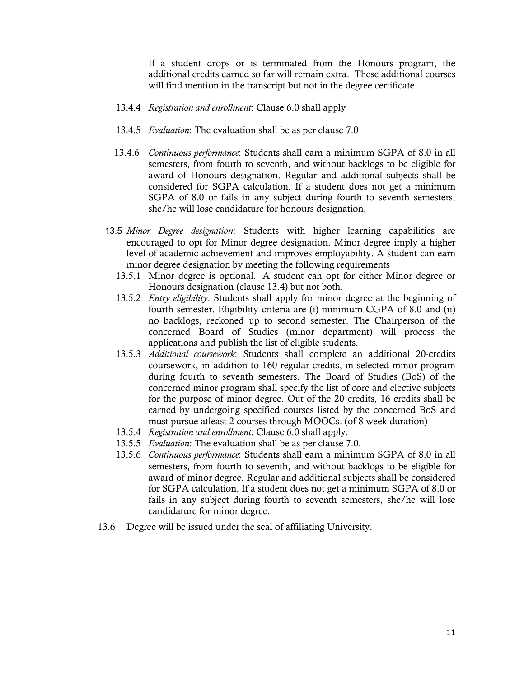If a student drops or is terminated from the Honours program, the additional credits earned so far will remain extra. These additional courses will find mention in the transcript but not in the degree certificate.

- 13.4.4 *Registration and enrollment*: Clause 6.0 shall apply
- 13.4.5 *Evaluation*: The evaluation shall be as per clause 7.0
- 13.4.6 *Continuous performance*: Students shall earn a minimum SGPA of 8.0 in all semesters, from fourth to seventh, and without backlogs to be eligible for award of Honours designation. Regular and additional subjects shall be considered for SGPA calculation. If a student does not get a minimum SGPA of 8.0 or fails in any subject during fourth to seventh semesters, she/he will lose candidature for honours designation.
- 13.5 *Minor Degree designation*: Students with higher learning capabilities are encouraged to opt for Minor degree designation. Minor degree imply a higher level of academic achievement and improves employability. A student can earn minor degree designation by meeting the following requirements
	- 13.5.1 Minor degree is optional. A student can opt for either Minor degree or Honours designation (clause 13.4) but not both.
	- 13.5.2 *Entry eligibility*: Students shall apply for minor degree at the beginning of fourth semester. Eligibility criteria are (i) minimum CGPA of 8.0 and (ii) no backlogs, reckoned up to second semester. The Chairperson of the concerned Board of Studies (minor department) will process the applications and publish the list of eligible students.
	- 13.5.3 *Additional coursework*: Students shall complete an additional 20-credits coursework, in addition to 160 regular credits, in selected minor program during fourth to seventh semesters. The Board of Studies (BoS) of the concerned minor program shall specify the list of core and elective subjects for the purpose of minor degree. Out of the 20 credits, 16 credits shall be earned by undergoing specified courses listed by the concerned BoS and must pursue atleast 2 courses through MOOCs. (of 8 week duration)
	- 13.5.4 *Registration and enrollment*: Clause 6.0 shall apply.
	- 13.5.5 *Evaluation*: The evaluation shall be as per clause 7.0.
	- 13.5.6 *Continuous performance*: Students shall earn a minimum SGPA of 8.0 in all semesters, from fourth to seventh, and without backlogs to be eligible for award of minor degree. Regular and additional subjects shall be considered for SGPA calculation. If a student does not get a minimum SGPA of 8.0 or fails in any subject during fourth to seventh semesters, she/he will lose candidature for minor degree.
- 13.6 Degree will be issued under the seal of affiliating University.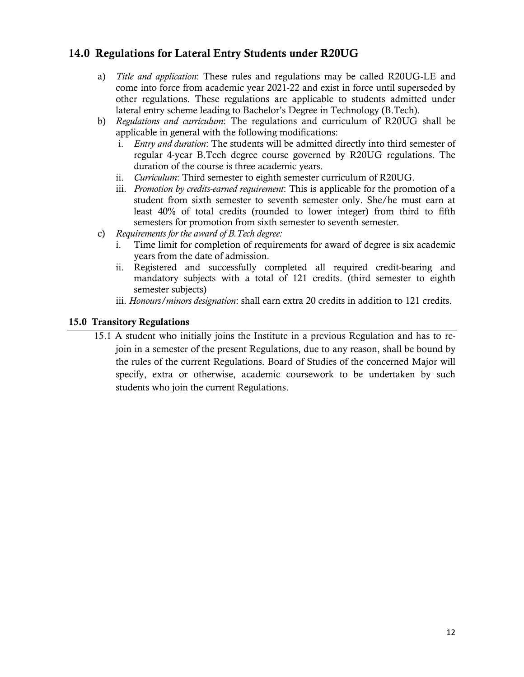# **14.0 Regulations for Lateral Entry Students under R20UG**

- a) *Title and application*: These rules and regulations may be called R20UG-LE and come into force from academic year 2021-22 and exist in force until superseded by other regulations. These regulations are applicable to students admitted under lateral entry scheme leading to Bachelor's Degree in Technology (B.Tech).
- b) *Regulations and curriculum*: The regulations and curriculum of R20UG shall be applicable in general with the following modifications:
	- i. *Entry and duration*: The students will be admitted directly into third semester of regular 4-year B.Tech degree course governed by R20UG regulations. The duration of the course is three academic years.
	- ii. *Curriculum*: Third semester to eighth semester curriculum of R20UG.
	- iii. *Promotion by credits-earned requirement*: This is applicable for the promotion of a student from sixth semester to seventh semester only. She/he must earn at least 40% of total credits (rounded to lower integer) from third to fifth semesters for promotion from sixth semester to seventh semester.
- c) *Requirements for the award of B.Tech degree:*
	- i. Time limit for completion of requirements for award of degree is six academic years from the date of admission.
	- ii. Registered and successfully completed all required credit-bearing and mandatory subjects with a total of 121 credits. (third semester to eighth semester subjects)
	- iii. *Honours/minors designation*: shall earn extra 20 credits in addition to 121 credits.

## **15.0 Transitory Regulations**

15.1 A student who initially joins the Institute in a previous Regulation and has to rejoin in a semester of the present Regulations, due to any reason, shall be bound by the rules of the current Regulations. Board of Studies of the concerned Major will specify, extra or otherwise, academic coursework to be undertaken by such students who join the current Regulations.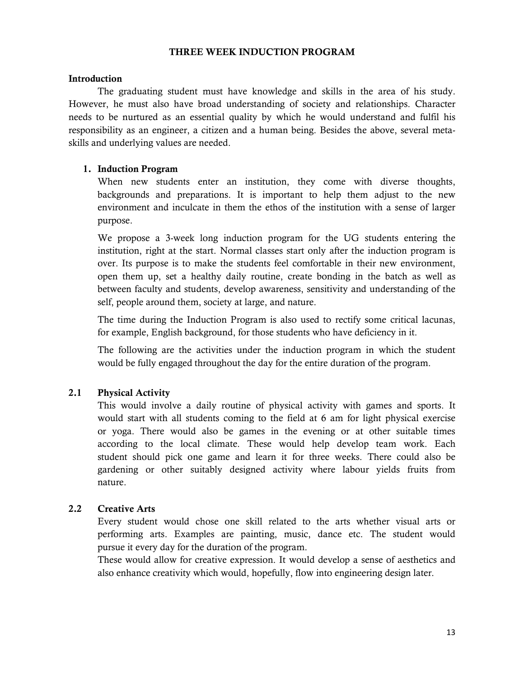#### **THREE WEEK INDUCTION PROGRAM**

#### **Introduction**

The graduating student must have knowledge and skills in the area of his study. However, he must also have broad understanding of society and relationships. Character needs to be nurtured as an essential quality by which he would understand and fulfil his responsibility as an engineer, a citizen and a human being. Besides the above, several metaskills and underlying values are needed.

#### **1. Induction Program**

When new students enter an institution, they come with diverse thoughts, backgrounds and preparations. It is important to help them adjust to the new environment and inculcate in them the ethos of the institution with a sense of larger purpose.

We propose a 3-week long induction program for the UG students entering the institution, right at the start. Normal classes start only after the induction program is over. Its purpose is to make the students feel comfortable in their new environment, open them up, set a healthy daily routine, create bonding in the batch as well as between faculty and students, develop awareness, sensitivity and understanding of the self, people around them, society at large, and nature.

The time during the Induction Program is also used to rectify some critical lacunas, for example, English background, for those students who have deficiency in it.

The following are the activities under the induction program in which the student would be fully engaged throughout the day for the entire duration of the program.

## **2.1 Physical Activity**

This would involve a daily routine of physical activity with games and sports. It would start with all students coming to the field at 6 am for light physical exercise or yoga. There would also be games in the evening or at other suitable times according to the local climate. These would help develop team work. Each student should pick one game and learn it for three weeks. There could also be gardening or other suitably designed activity where labour yields fruits from nature.

#### **2.2 Creative Arts**

Every student would chose one skill related to the arts whether visual arts or performing arts. Examples are painting, music, dance etc. The student would pursue it every day for the duration of the program.

These would allow for creative expression. It would develop a sense of aesthetics and also enhance creativity which would, hopefully, flow into engineering design later.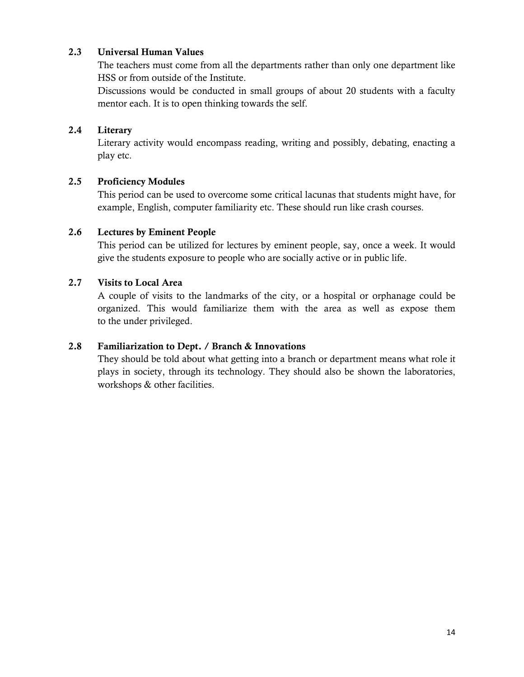## **2.3 Universal Human Values**

The teachers must come from all the departments rather than only one department like HSS or from outside of the Institute.

Discussions would be conducted in small groups of about 20 students with a faculty mentor each. It is to open thinking towards the self.

#### **2.4 Literary**

Literary activity would encompass reading, writing and possibly, debating, enacting a play etc.

## **2.5 Proficiency Modules**

This period can be used to overcome some critical lacunas that students might have, for example, English, computer familiarity etc. These should run like crash courses.

#### **2.6 Lectures by Eminent People**

This period can be utilized for lectures by eminent people, say, once a week. It would give the students exposure to people who are socially active or in public life.

#### **2.7 Visits to Local Area**

A couple of visits to the landmarks of the city, or a hospital or orphanage could be organized. This would familiarize them with the area as well as expose them to the under privileged.

## **2.8 Familiarization to Dept. / Branch & Innovations**

They should be told about what getting into a branch or department means what role it plays in society, through its technology. They should also be shown the laboratories, workshops & other facilities.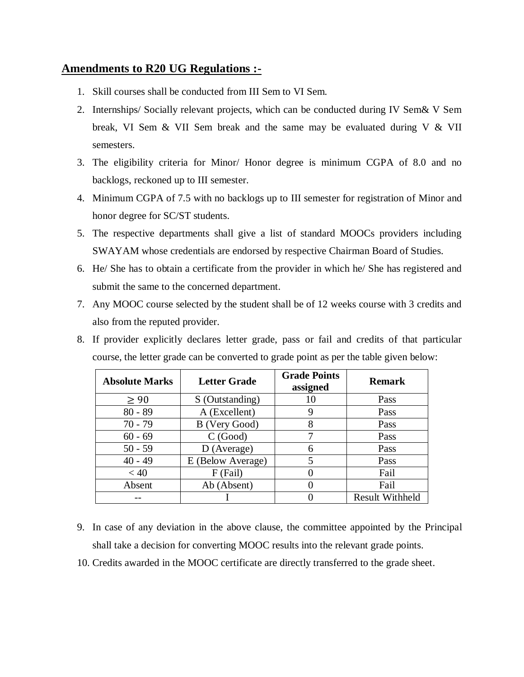## **Amendments to R20 UG Regulations :-**

- 1. Skill courses shall be conducted from III Sem to VI Sem.
- 2. Internships/ Socially relevant projects, which can be conducted during IV Sem& V Sem break, VI Sem & VII Sem break and the same may be evaluated during V & VII semesters.
- 3. The eligibility criteria for Minor/ Honor degree is minimum CGPA of 8.0 and no backlogs, reckoned up to III semester.
- 4. Minimum CGPA of 7.5 with no backlogs up to III semester for registration of Minor and honor degree for SC/ST students.
- 5. The respective departments shall give a list of standard MOOCs providers including SWAYAM whose credentials are endorsed by respective Chairman Board of Studies.
- 6. He/ She has to obtain a certificate from the provider in which he/ She has registered and submit the same to the concerned department.
- 7. Any MOOC course selected by the student shall be of 12 weeks course with 3 credits and also from the reputed provider.
- 8. If provider explicitly declares letter grade, pass or fail and credits of that particular course, the letter grade can be converted to grade point as per the table given below:

| <b>Absolute Marks</b> | <b>Letter Grade</b> | <b>Grade Points</b><br>assigned | <b>Remark</b>          |
|-----------------------|---------------------|---------------------------------|------------------------|
| $\geq 90$             | S (Outstanding)     | 10                              | Pass                   |
| $80 - 89$             | A (Excellent)       | 9                               | Pass                   |
| $70 - 79$             | B (Very Good)       | 8                               | Pass                   |
| $60 - 69$             | C(Good)             | 7                               | Pass                   |
| $50 - 59$             | D (Average)         | 6                               | Pass                   |
| $40 - 49$             | E (Below Average)   | 5                               | Pass                   |
| < 40                  | F (Fail)            | 0                               | Fail                   |
| Absent                | Ab (Absent)         |                                 | Fail                   |
|                       |                     |                                 | <b>Result Withheld</b> |

- 9. In case of any deviation in the above clause, the committee appointed by the Principal shall take a decision for converting MOOC results into the relevant grade points.
- 10. Credits awarded in the MOOC certificate are directly transferred to the grade sheet.